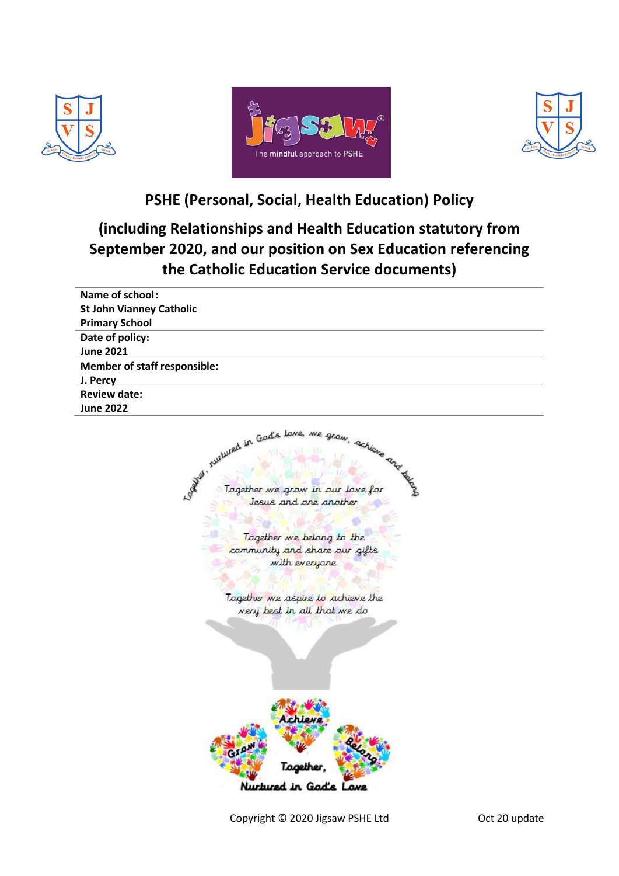





**PSHE (Personal, Social, Health Education) Policy**

# **(including Relationships and Health Education statutory from September 2020, and our position on Sex Education referencing the Catholic Education Service documents)**

Copyright © 2020 Jigsaw PSHE Ltd Oct 20 update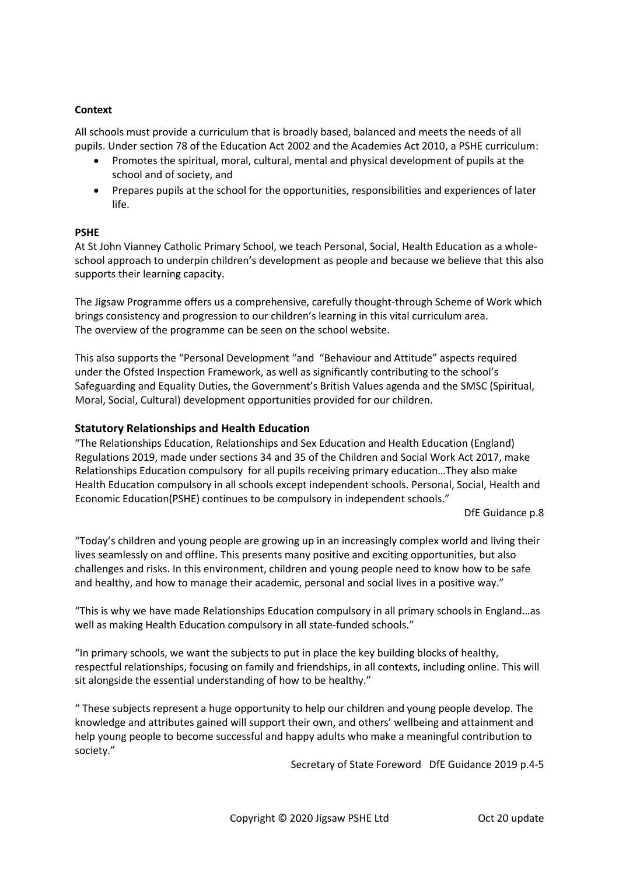## **Context**

All schools must provide a curriculum that is broadly based, balanced and meets the needs of all pupils. Under section 78 of the Education Act 2002 and the Academies Act 2010, a PSHE curriculum:

- Promotes the spiritual, moral, cultural, mental and physical development of pupils at the school and of society, and
- Prepares pupils at the school for the opportunities, responsibilities and experiences of later life.

#### **PSHE**

At St John Vianney Catholic Primary School, we teach Personal, Social, Health Education as a wholeschool approach to underpin children's development as people and because we believe that this also supports their learning capacity.

The Jigsaw Programme offers us a comprehensive, carefully thought-through Scheme of Work which brings consistency and progression to our children's learning in this vital curriculum area. The overview of the programme can be seen on the school website.

This also supports the "Personal Development "and "Behaviour and Attitude" aspects required under the Ofsted Inspection Framework, as well as significantly contributing to the school's Safeguarding and Equality Duties, the Government's British Values agenda and the SMSC (Spiritual, Moral, Social, Cultural) development opportunities provided for our children.

#### **Statutory Relationships and Health Education**

"The Relationships Education, Relationships and Sex Education and Health Education (England) Regulations 2019, made under sections 34 and 35 of the Children and Social Work Act 2017, make Relationships Education compulsory for all pupils receiving primary education…They also make Health Education compulsory in all schools except independent schools. Personal, Social, Health and Economic Education(PSHE) continues to be compulsory in independent schools."

DfE Guidance p.8

"Today's children and young people are growing up in an increasingly complex world and living their lives seamlessly on and offline. This presents many positive and exciting opportunities, but also challenges and risks. In this environment, children and young people need to know how to be safe and healthy, and how to manage their academic, personal and social lives in a positive way."

"This is why we have made Relationships Education compulsory in all primary schools in England…as well as making Health Education compulsory in all state-funded schools."

"In primary schools, we want the subjects to put in place the key building blocks of healthy, respectful relationships, focusing on family and friendships, in all contexts, including online. This will sit alongside the essential understanding of how to be healthy."

" These subjects represent a huge opportunity to help our children and young people develop. The knowledge and attributes gained will support their own, and others' wellbeing and attainment and help young people to become successful and happy adults who make a meaningful contribution to society."

Secretary of State Foreword DfE Guidance 2019 p.4-5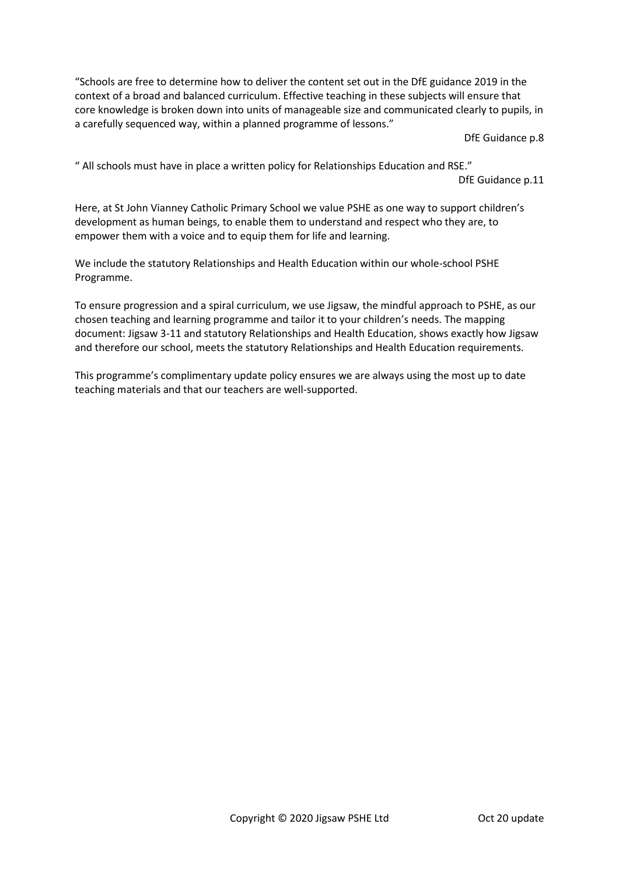"Schools are free to determine how to deliver the content set out in the DfE guidance 2019 in the context of a broad and balanced curriculum. Effective teaching in these subjects will ensure that core knowledge is broken down into units of manageable size and communicated clearly to pupils, in a carefully sequenced way, within a planned programme of lessons."

DfE Guidance p.8

" All schools must have in place a written policy for Relationships Education and RSE."

DfE Guidance p.11

Here, at St John Vianney Catholic Primary School we value PSHE as one way to support children's development as human beings, to enable them to understand and respect who they are, to empower them with a voice and to equip them for life and learning.

We include the statutory Relationships and Health Education within our whole-school PSHE Programme.

To ensure progression and a spiral curriculum, we use Jigsaw, the mindful approach to PSHE, as our chosen teaching and learning programme and tailor it to your children's needs. The mapping document: Jigsaw 3-11 and statutory Relationships and Health Education, shows exactly how Jigsaw and therefore our school, meets the statutory Relationships and Health Education requirements.

This programme's complimentary update policy ensures we are always using the most up to date teaching materials and that our teachers are well-supported.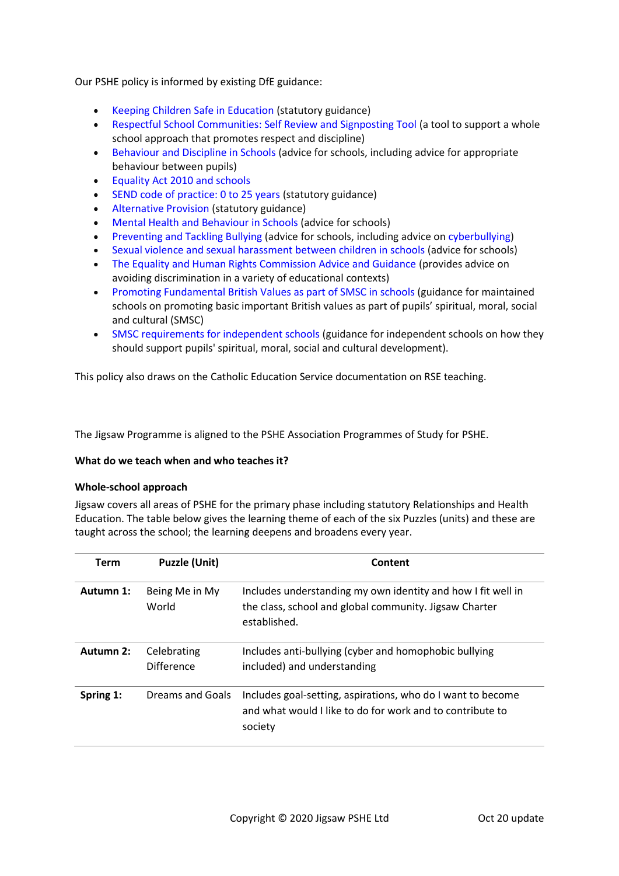Our PSHE policy is informed by existing DfE guidance:

- Keeping Children Safe in Education (statutory guidance)
- Respectful School Communities: Self Review and Signposting Tool (a tool to support a whole school approach that promotes respect and discipline)
- Behaviour and Discipline in Schools (advice for schools, including advice for appropriate behaviour between pupils)
- Equality Act 2010 and schools
- SEND code of practice: 0 to 25 years (statutory guidance)
- Alternative Provision (statutory guidance)
- Mental Health and Behaviour in Schools (advice for schools)
- Preventing and Tackling Bullying (advice for schools, including advice on cyberbullying)
- Sexual violence and sexual harassment between children in schools (advice for schools)
- The Equality and Human Rights Commission Advice and Guidance (provides advice on avoiding discrimination in a variety of educational contexts)
- Promoting Fundamental British Values as part of SMSC in schools (guidance for maintained schools on promoting basic important British values as part of pupils' spiritual, moral, social and cultural (SMSC)
- SMSC requirements for independent schools (guidance for independent schools on how they should support pupils' spiritual, moral, social and cultural development).

This policy also draws on the Catholic Education Service documentation on RSE teaching.

The Jigsaw Programme is aligned to the PSHE Association Programmes of Study for PSHE.

#### **What do we teach when and who teaches it?**

#### **Whole-school approach**

Jigsaw covers all areas of PSHE for the primary phase including statutory Relationships and Health Education. The table below gives the learning theme of each of the six Puzzles (units) and these are taught across the school; the learning deepens and broadens every year.

| <b>Term</b>                              | <b>Puzzle (Unit)</b>      | Content                                                                                                                                |  |
|------------------------------------------|---------------------------|----------------------------------------------------------------------------------------------------------------------------------------|--|
| Autumn 1:                                | Being Me in My<br>World   | Includes understanding my own identity and how I fit well in<br>the class, school and global community. Jigsaw Charter<br>established. |  |
| Autumn 2:                                | Celebrating<br>Difference | Includes anti-bullying (cyber and homophobic bullying<br>included) and understanding                                                   |  |
| Dreams and Goals<br>Spring 1:<br>society |                           | Includes goal-setting, aspirations, who do I want to become<br>and what would I like to do for work and to contribute to               |  |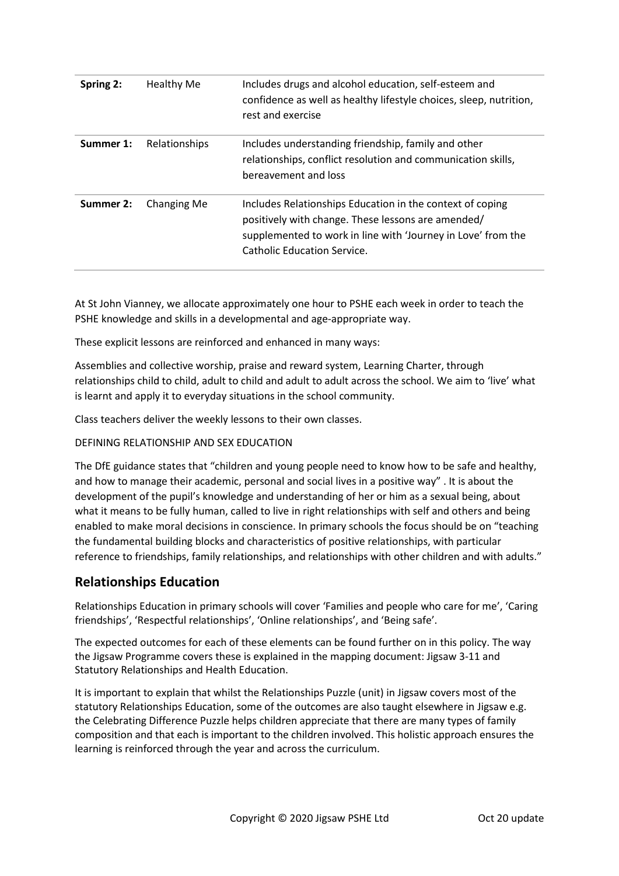| Spring 2: | Healthy Me    | Includes drugs and alcohol education, self-esteem and<br>confidence as well as healthy lifestyle choices, sleep, nutrition,<br>rest and exercise                                                               |
|-----------|---------------|----------------------------------------------------------------------------------------------------------------------------------------------------------------------------------------------------------------|
| Summer 1: | Relationships | Includes understanding friendship, family and other<br>relationships, conflict resolution and communication skills,<br>bereavement and loss                                                                    |
| Summer 2: | Changing Me   | Includes Relationships Education in the context of coping<br>positively with change. These lessons are amended/<br>supplemented to work in line with 'Journey in Love' from the<br>Catholic Education Service. |

At St John Vianney, we allocate approximately one hour to PSHE each week in order to teach the PSHE knowledge and skills in a developmental and age-appropriate way.

These explicit lessons are reinforced and enhanced in many ways:

Assemblies and collective worship, praise and reward system, Learning Charter, through relationships child to child, adult to child and adult to adult across the school. We aim to 'live' what is learnt and apply it to everyday situations in the school community.

Class teachers deliver the weekly lessons to their own classes.

## DEFINING RELATIONSHIP AND SEX EDUCATION

The DfE guidance states that "children and young people need to know how to be safe and healthy, and how to manage their academic, personal and social lives in a positive way" . It is about the development of the pupil's knowledge and understanding of her or him as a sexual being, about what it means to be fully human, called to live in right relationships with self and others and being enabled to make moral decisions in conscience. In primary schools the focus should be on "teaching the fundamental building blocks and characteristics of positive relationships, with particular reference to friendships, family relationships, and relationships with other children and with adults."

# **Relationships Education**

Relationships Education in primary schools will cover 'Families and people who care for me', 'Caring friendships', 'Respectful relationships', 'Online relationships', and 'Being safe'.

The expected outcomes for each of these elements can be found further on in this policy. The way the Jigsaw Programme covers these is explained in the mapping document: Jigsaw 3-11 and Statutory Relationships and Health Education.

It is important to explain that whilst the Relationships Puzzle (unit) in Jigsaw covers most of the statutory Relationships Education, some of the outcomes are also taught elsewhere in Jigsaw e.g. the Celebrating Difference Puzzle helps children appreciate that there are many types of family composition and that each is important to the children involved. This holistic approach ensures the learning is reinforced through the year and across the curriculum.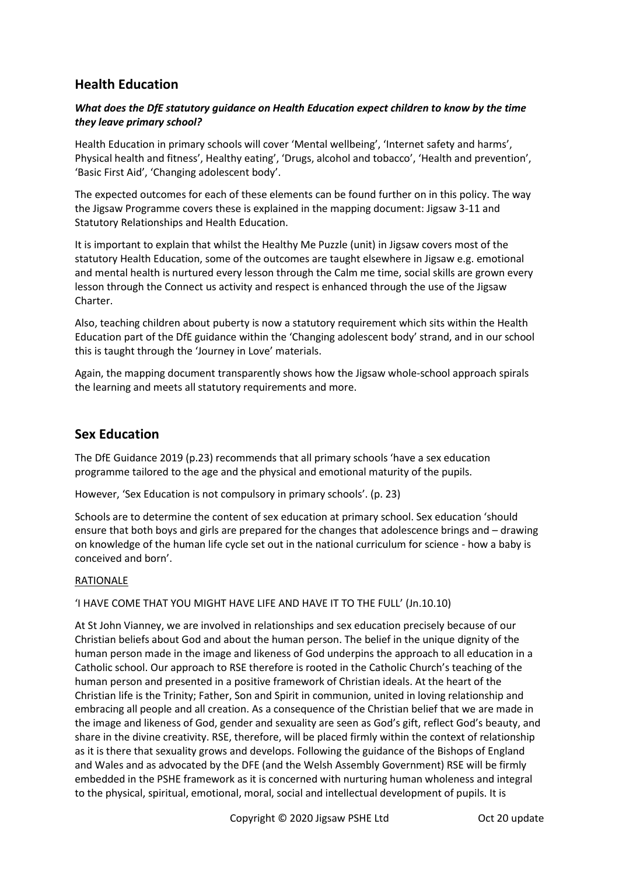# **Health Education**

## *What does the DfE statutory guidance on Health Education expect children to know by the time they leave primary school?*

Health Education in primary schools will cover 'Mental wellbeing', 'Internet safety and harms', Physical health and fitness', Healthy eating', 'Drugs, alcohol and tobacco', 'Health and prevention', 'Basic First Aid', 'Changing adolescent body'.

The expected outcomes for each of these elements can be found further on in this policy. The way the Jigsaw Programme covers these is explained in the mapping document: Jigsaw 3-11 and Statutory Relationships and Health Education.

It is important to explain that whilst the Healthy Me Puzzle (unit) in Jigsaw covers most of the statutory Health Education, some of the outcomes are taught elsewhere in Jigsaw e.g. emotional and mental health is nurtured every lesson through the Calm me time, social skills are grown every lesson through the Connect us activity and respect is enhanced through the use of the Jigsaw Charter.

Also, teaching children about puberty is now a statutory requirement which sits within the Health Education part of the DfE guidance within the 'Changing adolescent body' strand, and in our school this is taught through the 'Journey in Love' materials.

Again, the mapping document transparently shows how the Jigsaw whole-school approach spirals the learning and meets all statutory requirements and more.

# **Sex Education**

The DfE Guidance 2019 (p.23) recommends that all primary schools 'have a sex education programme tailored to the age and the physical and emotional maturity of the pupils.

However, 'Sex Education is not compulsory in primary schools'. (p. 23)

Schools are to determine the content of sex education at primary school. Sex education 'should ensure that both boys and girls are prepared for the changes that adolescence brings and – drawing on knowledge of the human life cycle set out in the national curriculum for science - how a baby is conceived and born'.

#### RATIONALE

#### 'I HAVE COME THAT YOU MIGHT HAVE LIFE AND HAVE IT TO THE FULL' (Jn.10.10)

At St John Vianney, we are involved in relationships and sex education precisely because of our Christian beliefs about God and about the human person. The belief in the unique dignity of the human person made in the image and likeness of God underpins the approach to all education in a Catholic school. Our approach to RSE therefore is rooted in the Catholic Church's teaching of the human person and presented in a positive framework of Christian ideals. At the heart of the Christian life is the Trinity; Father, Son and Spirit in communion, united in loving relationship and embracing all people and all creation. As a consequence of the Christian belief that we are made in the image and likeness of God, gender and sexuality are seen as God's gift, reflect God's beauty, and share in the divine creativity. RSE, therefore, will be placed firmly within the context of relationship as it is there that sexuality grows and develops. Following the guidance of the Bishops of England and Wales and as advocated by the DFE (and the Welsh Assembly Government) RSE will be firmly embedded in the PSHE framework as it is concerned with nurturing human wholeness and integral to the physical, spiritual, emotional, moral, social and intellectual development of pupils. It is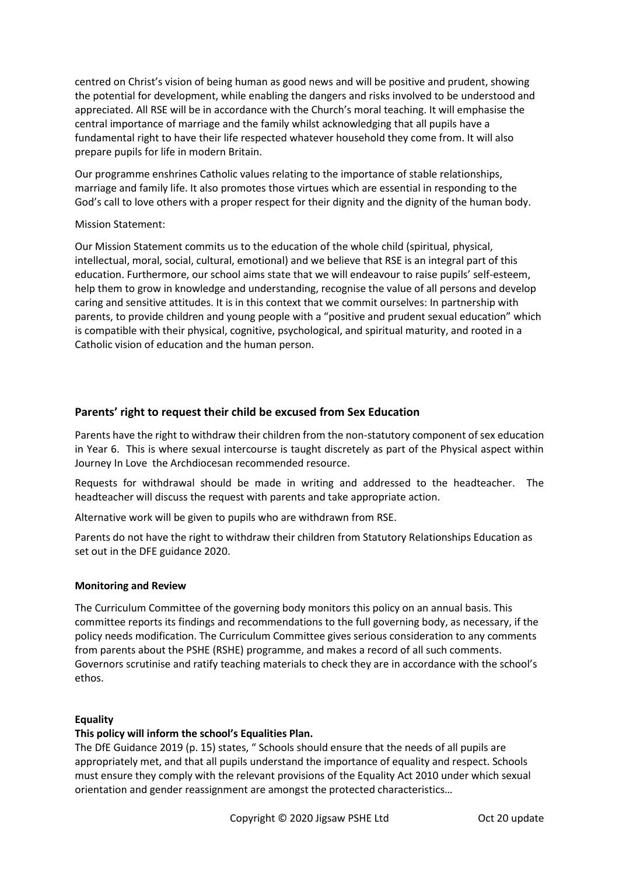centred on Christ's vision of being human as good news and will be positive and prudent, showing the potential for development, while enabling the dangers and risks involved to be understood and appreciated. All RSE will be in accordance with the Church's moral teaching. It will emphasise the central importance of marriage and the family whilst acknowledging that all pupils have a fundamental right to have their life respected whatever household they come from. It will also prepare pupils for life in modern Britain.

Our programme enshrines Catholic values relating to the importance of stable relationships, marriage and family life. It also promotes those virtues which are essential in responding to the God's call to love others with a proper respect for their dignity and the dignity of the human body.

#### Mission Statement:

Our Mission Statement commits us to the education of the whole child (spiritual, physical, intellectual, moral, social, cultural, emotional) and we believe that RSE is an integral part of this education. Furthermore, our school aims state that we will endeavour to raise pupils' self-esteem, help them to grow in knowledge and understanding, recognise the value of all persons and develop caring and sensitive attitudes. It is in this context that we commit ourselves: In partnership with parents, to provide children and young people with a "positive and prudent sexual education" which is compatible with their physical, cognitive, psychological, and spiritual maturity, and rooted in a Catholic vision of education and the human person.

# **Parents' right to request their child be excused from Sex Education**

Parents have the right to withdraw their children from the non-statutory component of sex education in Year 6. This is where sexual intercourse is taught discretely as part of the Physical aspect within Journey In Love the Archdiocesan recommended resource.

Requests for withdrawal should be made in writing and addressed to the headteacher. The headteacher will discuss the request with parents and take appropriate action.

Alternative work will be given to pupils who are withdrawn from RSE.

Parents do not have the right to withdraw their children from Statutory Relationships Education as set out in the DFE guidance 2020.

# **Monitoring and Review**

The Curriculum Committee of the governing body monitors this policy on an annual basis. This committee reports its findings and recommendations to the full governing body, as necessary, if the policy needs modification. The Curriculum Committee gives serious consideration to any comments from parents about the PSHE (RSHE) programme, and makes a record of all such comments. Governors scrutinise and ratify teaching materials to check they are in accordance with the school's ethos.

#### **Equality**

# **This policy will inform the school's Equalities Plan.**

The DfE Guidance 2019 (p. 15) states, " Schools should ensure that the needs of all pupils are appropriately met, and that all pupils understand the importance of equality and respect. Schools must ensure they comply with the relevant provisions of the Equality Act 2010 under which sexual orientation and gender reassignment are amongst the protected characteristics…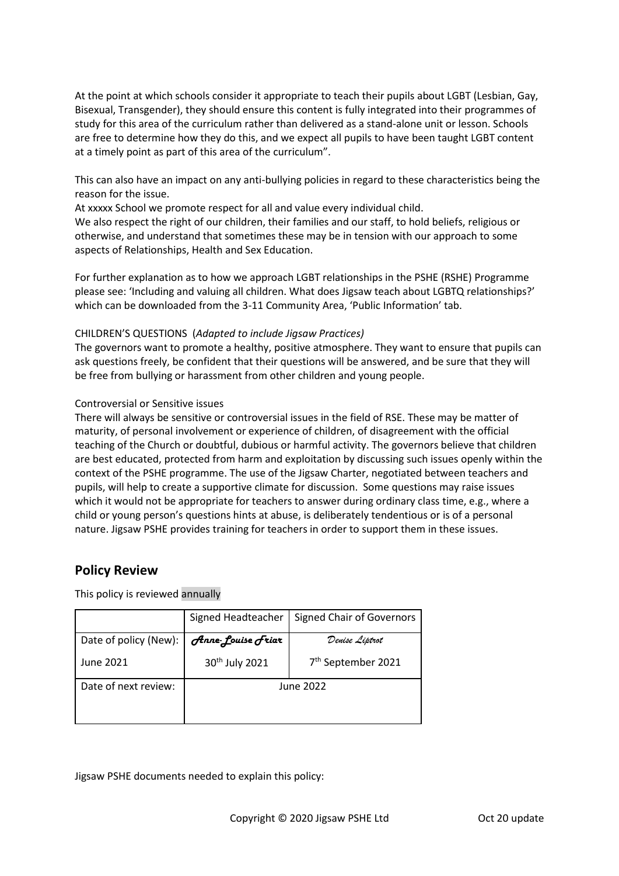At the point at which schools consider it appropriate to teach their pupils about LGBT (Lesbian, Gay, Bisexual, Transgender), they should ensure this content is fully integrated into their programmes of study for this area of the curriculum rather than delivered as a stand-alone unit or lesson. Schools are free to determine how they do this, and we expect all pupils to have been taught LGBT content at a timely point as part of this area of the curriculum".

This can also have an impact on any anti-bullying policies in regard to these characteristics being the reason for the issue.

At xxxxx School we promote respect for all and value every individual child.

We also respect the right of our children, their families and our staff, to hold beliefs, religious or otherwise, and understand that sometimes these may be in tension with our approach to some aspects of Relationships, Health and Sex Education.

For further explanation as to how we approach LGBT relationships in the PSHE (RSHE) Programme please see: 'Including and valuing all children. What does Jigsaw teach about LGBTQ relationships?' which can be downloaded from the 3-11 Community Area, 'Public Information' tab.

## CHILDREN'S QUESTIONS (*Adapted to include Jigsaw Practices)*

The governors want to promote a healthy, positive atmosphere. They want to ensure that pupils can ask questions freely, be confident that their questions will be answered, and be sure that they will be free from bullying or harassment from other children and young people.

## Controversial or Sensitive issues

There will always be sensitive or controversial issues in the field of RSE. These may be matter of maturity, of personal involvement or experience of children, of disagreement with the official teaching of the Church or doubtful, dubious or harmful activity. The governors believe that children are best educated, protected from harm and exploitation by discussing such issues openly within the context of the PSHE programme. The use of the Jigsaw Charter, negotiated between teachers and pupils, will help to create a supportive climate for discussion. Some questions may raise issues which it would not be appropriate for teachers to answer during ordinary class time, e.g., where a child or young person's questions hints at abuse, is deliberately tendentious or is of a personal nature. Jigsaw PSHE provides training for teachers in order to support them in these issues.

# **Policy Review**

This policy is reviewed annually

|                       | Signed Headteacher         | <b>Signed Chair of Governors</b> |  |
|-----------------------|----------------------------|----------------------------------|--|
| Date of policy (New): | Anne-Louise Friar          | Denise Liptrot                   |  |
| June 2021             | 30 <sup>th</sup> July 2021 | 7 <sup>th</sup> September 2021   |  |
| Date of next review:  | June 2022                  |                                  |  |

Jigsaw PSHE documents needed to explain this policy: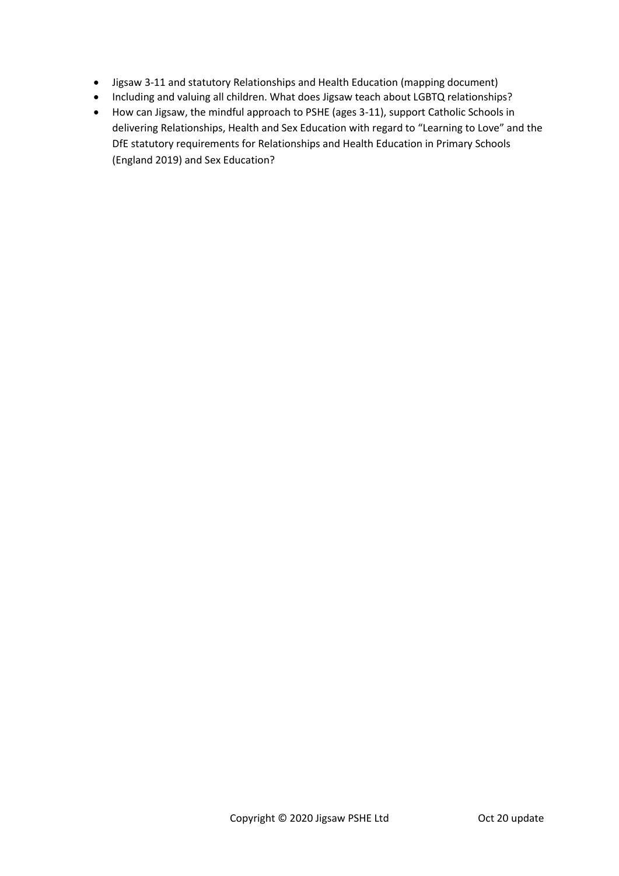- Jigsaw 3-11 and statutory Relationships and Health Education (mapping document)
- Including and valuing all children. What does Jigsaw teach about LGBTQ relationships?
- How can Jigsaw, the mindful approach to PSHE (ages 3-11), support Catholic Schools in delivering Relationships, Health and Sex Education with regard to "Learning to Love" and the DfE statutory requirements for Relationships and Health Education in Primary Schools (England 2019) and Sex Education?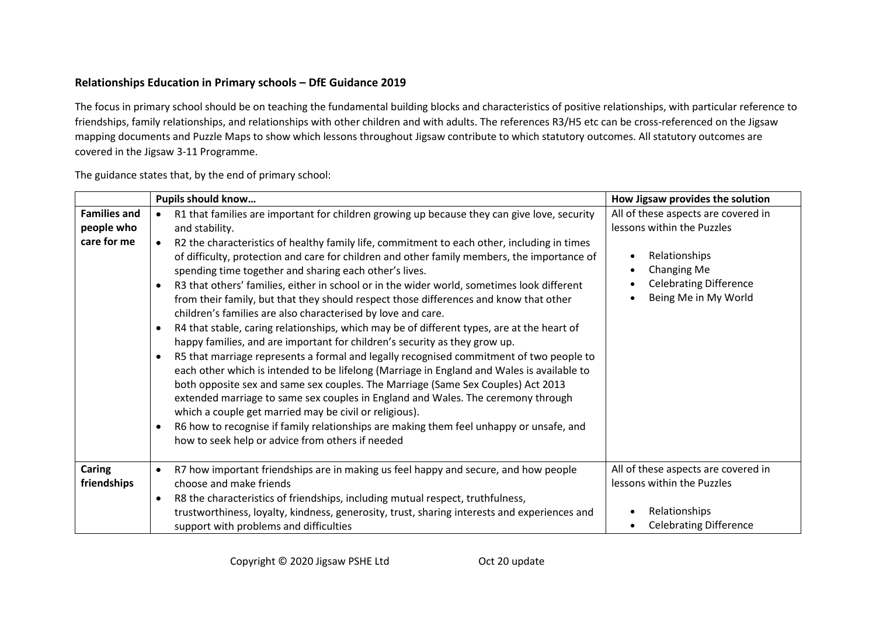# **Relationships Education in Primary schools – DfE Guidance 2019**

The focus in primary school should be on teaching the fundamental building blocks and characteristics of positive relationships, with particular reference to friendships, family relationships, and relationships with other children and with adults. The references R3/H5 etc can be cross-referenced on the Jigsaw mapping documents and Puzzle Maps to show which lessons throughout Jigsaw contribute to which statutory outcomes. All statutory outcomes are covered in the Jigsaw 3-11 Programme.

The guidance states that, by the end of primary school:

|                                                  | <b>Pupils should know</b>                                                                                                                                                                                                                                                                                                                                                                                                                                                                                                                                                                                                                                                                                                                                                                                                                                                                                                                                                                                                                                                                                                                                                                                                                                                                                                                                                                                                              | How Jigsaw provides the solution                                                                                                                                                     |
|--------------------------------------------------|----------------------------------------------------------------------------------------------------------------------------------------------------------------------------------------------------------------------------------------------------------------------------------------------------------------------------------------------------------------------------------------------------------------------------------------------------------------------------------------------------------------------------------------------------------------------------------------------------------------------------------------------------------------------------------------------------------------------------------------------------------------------------------------------------------------------------------------------------------------------------------------------------------------------------------------------------------------------------------------------------------------------------------------------------------------------------------------------------------------------------------------------------------------------------------------------------------------------------------------------------------------------------------------------------------------------------------------------------------------------------------------------------------------------------------------|--------------------------------------------------------------------------------------------------------------------------------------------------------------------------------------|
| <b>Families and</b><br>people who<br>care for me | R1 that families are important for children growing up because they can give love, security<br>and stability.<br>R2 the characteristics of healthy family life, commitment to each other, including in times<br>of difficulty, protection and care for children and other family members, the importance of<br>spending time together and sharing each other's lives.<br>R3 that others' families, either in school or in the wider world, sometimes look different<br>$\bullet$<br>from their family, but that they should respect those differences and know that other<br>children's families are also characterised by love and care.<br>R4 that stable, caring relationships, which may be of different types, are at the heart of<br>$\bullet$<br>happy families, and are important for children's security as they grow up.<br>R5 that marriage represents a formal and legally recognised commitment of two people to<br>$\bullet$<br>each other which is intended to be lifelong (Marriage in England and Wales is available to<br>both opposite sex and same sex couples. The Marriage (Same Sex Couples) Act 2013<br>extended marriage to same sex couples in England and Wales. The ceremony through<br>which a couple get married may be civil or religious).<br>R6 how to recognise if family relationships are making them feel unhappy or unsafe, and<br>$\bullet$<br>how to seek help or advice from others if needed | All of these aspects are covered in<br>lessons within the Puzzles<br>Relationships<br>$\bullet$<br>Changing Me<br>$\bullet$<br><b>Celebrating Difference</b><br>Being Me in My World |
| Caring<br>friendships                            | R7 how important friendships are in making us feel happy and secure, and how people<br>choose and make friends<br>R8 the characteristics of friendships, including mutual respect, truthfulness,<br>$\bullet$                                                                                                                                                                                                                                                                                                                                                                                                                                                                                                                                                                                                                                                                                                                                                                                                                                                                                                                                                                                                                                                                                                                                                                                                                          | All of these aspects are covered in<br>lessons within the Puzzles                                                                                                                    |
|                                                  | trustworthiness, loyalty, kindness, generosity, trust, sharing interests and experiences and<br>support with problems and difficulties                                                                                                                                                                                                                                                                                                                                                                                                                                                                                                                                                                                                                                                                                                                                                                                                                                                                                                                                                                                                                                                                                                                                                                                                                                                                                                 | Relationships<br><b>Celebrating Difference</b>                                                                                                                                       |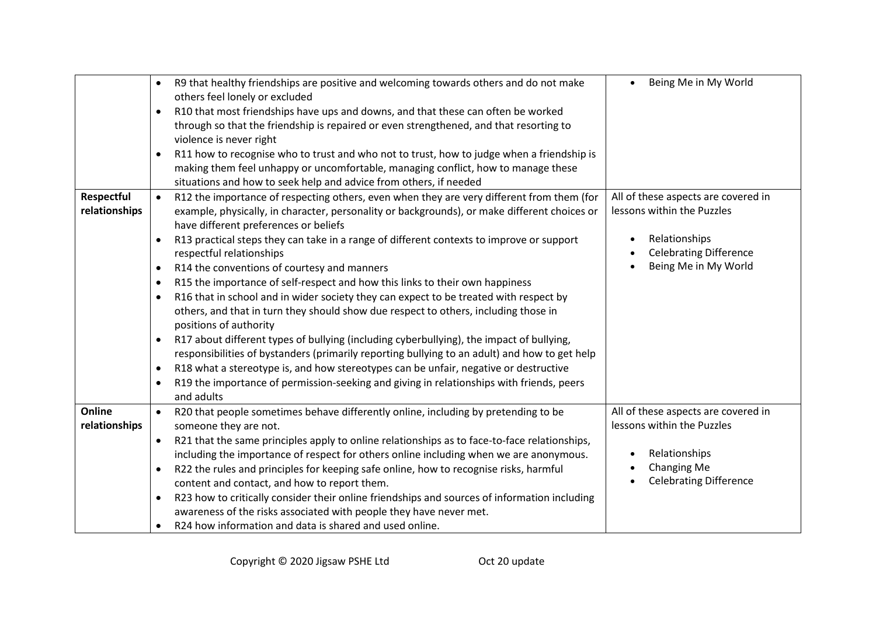|                             | $\bullet$              | R9 that healthy friendships are positive and welcoming towards others and do not make<br>others feel lonely or excluded                                                                                                                             | Being Me in My World<br>$\bullet$                                      |
|-----------------------------|------------------------|-----------------------------------------------------------------------------------------------------------------------------------------------------------------------------------------------------------------------------------------------------|------------------------------------------------------------------------|
|                             | $\bullet$              | R10 that most friendships have ups and downs, and that these can often be worked<br>through so that the friendship is repaired or even strengthened, and that resorting to<br>violence is never right                                               |                                                                        |
|                             | $\bullet$              | R11 how to recognise who to trust and who not to trust, how to judge when a friendship is<br>making them feel unhappy or uncomfortable, managing conflict, how to manage these<br>situations and how to seek help and advice from others, if needed |                                                                        |
| Respectful<br>relationships | $\bullet$              | R12 the importance of respecting others, even when they are very different from them (for<br>example, physically, in character, personality or backgrounds), or make different choices or<br>have different preferences or beliefs                  | All of these aspects are covered in<br>lessons within the Puzzles      |
|                             | $\bullet$<br>$\bullet$ | R13 practical steps they can take in a range of different contexts to improve or support<br>respectful relationships<br>R14 the conventions of courtesy and manners                                                                                 | Relationships<br><b>Celebrating Difference</b><br>Being Me in My World |
|                             | $\bullet$              | R15 the importance of self-respect and how this links to their own happiness                                                                                                                                                                        |                                                                        |
|                             | $\bullet$              | R16 that in school and in wider society they can expect to be treated with respect by<br>others, and that in turn they should show due respect to others, including those in<br>positions of authority                                              |                                                                        |
|                             | $\bullet$              | R17 about different types of bullying (including cyberbullying), the impact of bullying,                                                                                                                                                            |                                                                        |
|                             |                        | responsibilities of bystanders (primarily reporting bullying to an adult) and how to get help                                                                                                                                                       |                                                                        |
|                             | $\bullet$              | R18 what a stereotype is, and how stereotypes can be unfair, negative or destructive                                                                                                                                                                |                                                                        |
|                             |                        | R19 the importance of permission-seeking and giving in relationships with friends, peers<br>and adults                                                                                                                                              |                                                                        |
| Online<br>relationships     | $\bullet$              | R20 that people sometimes behave differently online, including by pretending to be<br>someone they are not.                                                                                                                                         | All of these aspects are covered in<br>lessons within the Puzzles      |
|                             | $\bullet$              | R21 that the same principles apply to online relationships as to face-to-face relationships,<br>including the importance of respect for others online including when we are anonymous.                                                              | Relationships                                                          |
|                             | $\bullet$              | R22 the rules and principles for keeping safe online, how to recognise risks, harmful<br>content and contact, and how to report them.                                                                                                               | Changing Me<br><b>Celebrating Difference</b>                           |
|                             | $\bullet$              | R23 how to critically consider their online friendships and sources of information including<br>awareness of the risks associated with people they have never met.                                                                                  |                                                                        |
|                             | $\bullet$              | R24 how information and data is shared and used online.                                                                                                                                                                                             |                                                                        |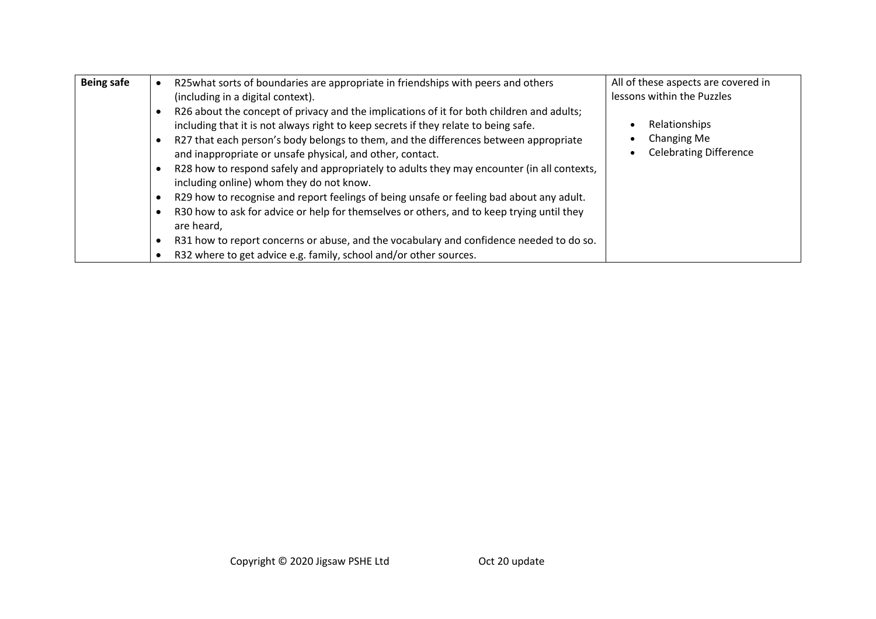| <b>Being safe</b> | R25what sorts of boundaries are appropriate in friendships with peers and others<br>(including in a digital context).                                                            | All of these aspects are covered in<br>lessons within the Puzzles |
|-------------------|----------------------------------------------------------------------------------------------------------------------------------------------------------------------------------|-------------------------------------------------------------------|
|                   | R26 about the concept of privacy and the implications of it for both children and adults;<br>including that it is not always right to keep secrets if they relate to being safe. | Relationships                                                     |
|                   | R27 that each person's body belongs to them, and the differences between appropriate<br>and inappropriate or unsafe physical, and other, contact.                                | Changing Me<br><b>Celebrating Difference</b>                      |
|                   | R28 how to respond safely and appropriately to adults they may encounter (in all contexts,<br>including online) whom they do not know.                                           |                                                                   |
|                   | R29 how to recognise and report feelings of being unsafe or feeling bad about any adult.                                                                                         |                                                                   |
|                   | R30 how to ask for advice or help for themselves or others, and to keep trying until they<br>are heard,                                                                          |                                                                   |
|                   | R31 how to report concerns or abuse, and the vocabulary and confidence needed to do so.                                                                                          |                                                                   |
|                   | R32 where to get advice e.g. family, school and/or other sources.                                                                                                                |                                                                   |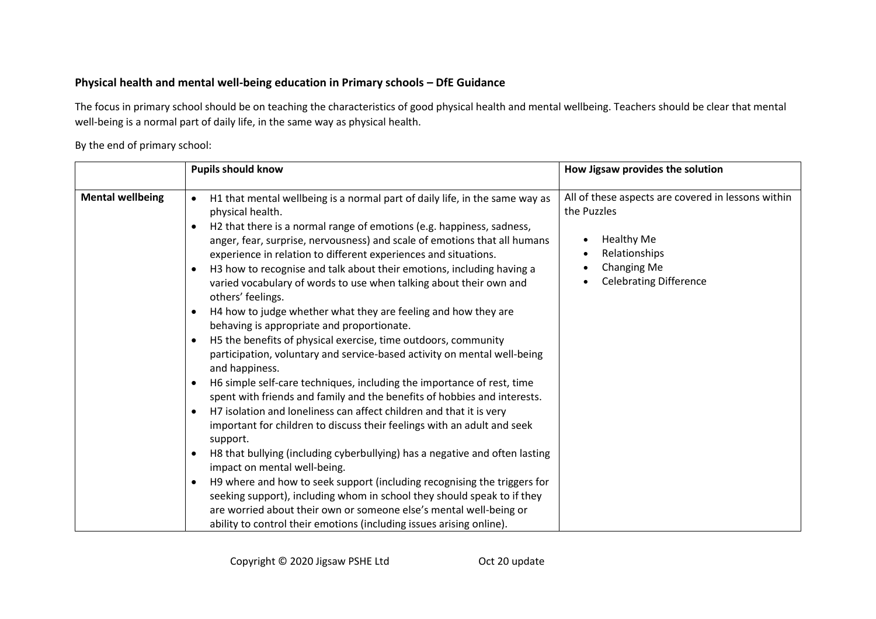# **Physical health and mental well-being education in Primary schools – DfE Guidance**

The focus in primary school should be on teaching the characteristics of good physical health and mental wellbeing. Teachers should be clear that mental well-being is a normal part of daily life, in the same way as physical health.

By the end of primary school:

|                         | <b>Pupils should know</b>                                                                                                                                                                                                                                                                                                                                                                                                                                                                                                                                                                                                                                                                                                                                                                                                                                                                                                                                                                                                                                                                                                                                                                                                                                                               | How Jigsaw provides the solution                                                                                                                                                  |
|-------------------------|-----------------------------------------------------------------------------------------------------------------------------------------------------------------------------------------------------------------------------------------------------------------------------------------------------------------------------------------------------------------------------------------------------------------------------------------------------------------------------------------------------------------------------------------------------------------------------------------------------------------------------------------------------------------------------------------------------------------------------------------------------------------------------------------------------------------------------------------------------------------------------------------------------------------------------------------------------------------------------------------------------------------------------------------------------------------------------------------------------------------------------------------------------------------------------------------------------------------------------------------------------------------------------------------|-----------------------------------------------------------------------------------------------------------------------------------------------------------------------------------|
| <b>Mental wellbeing</b> | H1 that mental wellbeing is a normal part of daily life, in the same way as<br>$\bullet$<br>physical health.<br>H2 that there is a normal range of emotions (e.g. happiness, sadness,<br>$\bullet$<br>anger, fear, surprise, nervousness) and scale of emotions that all humans<br>experience in relation to different experiences and situations.<br>H3 how to recognise and talk about their emotions, including having a<br>$\bullet$<br>varied vocabulary of words to use when talking about their own and<br>others' feelings.<br>H4 how to judge whether what they are feeling and how they are<br>$\bullet$<br>behaving is appropriate and proportionate.<br>H5 the benefits of physical exercise, time outdoors, community<br>$\bullet$<br>participation, voluntary and service-based activity on mental well-being<br>and happiness.<br>H6 simple self-care techniques, including the importance of rest, time<br>$\bullet$<br>spent with friends and family and the benefits of hobbies and interests.<br>H7 isolation and loneliness can affect children and that it is very<br>$\bullet$<br>important for children to discuss their feelings with an adult and seek<br>support.<br>H8 that bullying (including cyberbullying) has a negative and often lasting<br>$\bullet$ | All of these aspects are covered in lessons within<br>the Puzzles<br><b>Healthy Me</b><br>Relationships<br>$\bullet$<br>Changing Me<br>$\bullet$<br><b>Celebrating Difference</b> |
|                         | impact on mental well-being.<br>H9 where and how to seek support (including recognising the triggers for<br>$\bullet$<br>seeking support), including whom in school they should speak to if they<br>are worried about their own or someone else's mental well-being or<br>ability to control their emotions (including issues arising online).                                                                                                                                                                                                                                                                                                                                                                                                                                                                                                                                                                                                                                                                                                                                                                                                                                                                                                                                          |                                                                                                                                                                                   |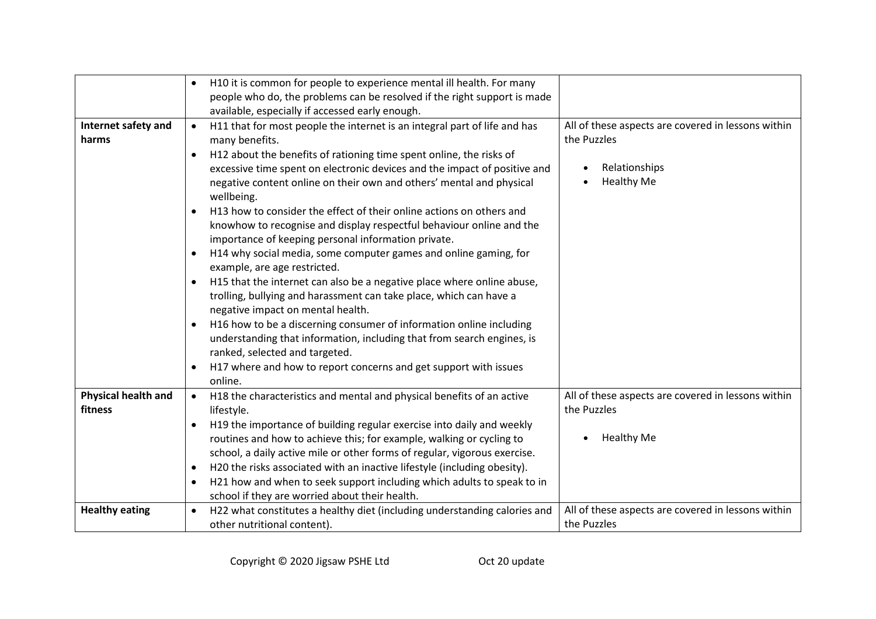|                                       | H10 it is common for people to experience mental ill health. For many<br>people who do, the problems can be resolved if the right support is made<br>available, especially if accessed early enough.                                                                                                                                                                                                                                                                                                                                                                                                                                                                                                                                                                                                                                                                                                                                                                                                                                                                                                                                                        |                                                                                                         |
|---------------------------------------|-------------------------------------------------------------------------------------------------------------------------------------------------------------------------------------------------------------------------------------------------------------------------------------------------------------------------------------------------------------------------------------------------------------------------------------------------------------------------------------------------------------------------------------------------------------------------------------------------------------------------------------------------------------------------------------------------------------------------------------------------------------------------------------------------------------------------------------------------------------------------------------------------------------------------------------------------------------------------------------------------------------------------------------------------------------------------------------------------------------------------------------------------------------|---------------------------------------------------------------------------------------------------------|
| Internet safety and<br>harms          | H11 that for most people the internet is an integral part of life and has<br>$\bullet$<br>many benefits.<br>H12 about the benefits of rationing time spent online, the risks of<br>$\bullet$<br>excessive time spent on electronic devices and the impact of positive and<br>negative content online on their own and others' mental and physical<br>wellbeing.<br>H13 how to consider the effect of their online actions on others and<br>$\bullet$<br>knowhow to recognise and display respectful behaviour online and the<br>importance of keeping personal information private.<br>H14 why social media, some computer games and online gaming, for<br>$\bullet$<br>example, are age restricted.<br>H15 that the internet can also be a negative place where online abuse,<br>trolling, bullying and harassment can take place, which can have a<br>negative impact on mental health.<br>H16 how to be a discerning consumer of information online including<br>understanding that information, including that from search engines, is<br>ranked, selected and targeted.<br>H17 where and how to report concerns and get support with issues<br>online. | All of these aspects are covered in lessons within<br>the Puzzles<br>Relationships<br><b>Healthy Me</b> |
| <b>Physical health and</b><br>fitness | H18 the characteristics and mental and physical benefits of an active<br>$\bullet$<br>lifestyle.<br>H19 the importance of building regular exercise into daily and weekly<br>$\bullet$<br>routines and how to achieve this; for example, walking or cycling to<br>school, a daily active mile or other forms of regular, vigorous exercise.<br>H20 the risks associated with an inactive lifestyle (including obesity).<br>$\bullet$<br>H21 how and when to seek support including which adults to speak to in<br>school if they are worried about their health.                                                                                                                                                                                                                                                                                                                                                                                                                                                                                                                                                                                            | All of these aspects are covered in lessons within<br>the Puzzles<br><b>Healthy Me</b>                  |
| <b>Healthy eating</b>                 | H22 what constitutes a healthy diet (including understanding calories and<br>$\bullet$<br>other nutritional content).                                                                                                                                                                                                                                                                                                                                                                                                                                                                                                                                                                                                                                                                                                                                                                                                                                                                                                                                                                                                                                       | All of these aspects are covered in lessons within<br>the Puzzles                                       |